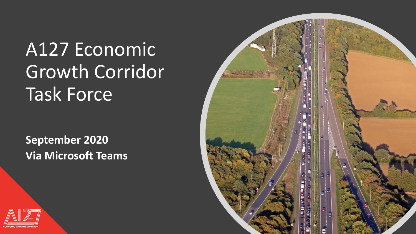## A127 Economic Growth Corridor Task Force

**September 2020 Via Microsoft Teams**



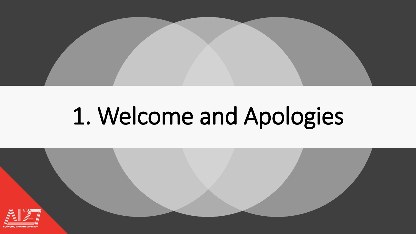

# 1. Welcome and Apologies

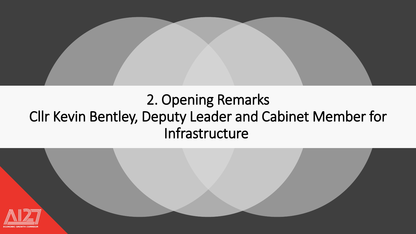

#### 2. Opening Remarks Cllr Kevin Bentley, Deputy Leader and Cabinet Member for Infrastructure

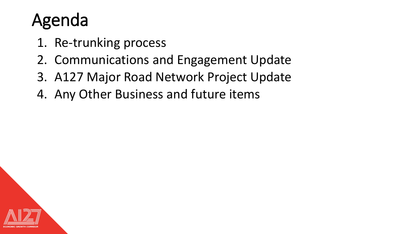### Agenda

- 1. Re-trunking process
- 2. Communications and Engagement Update
- 3. A127 Major Road Network Project Update
- 4. Any Other Business and future items

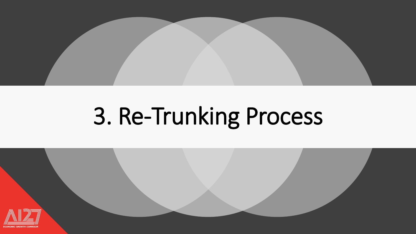

# 3. Re-Trunking Process

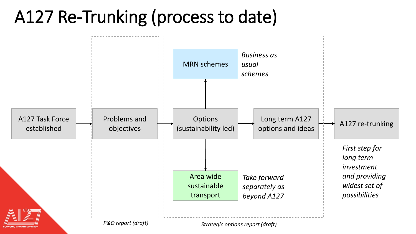#### A127 Re-Trunking (process to date)

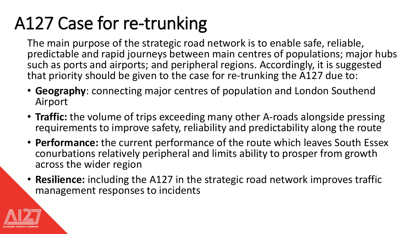## A127 Case for re-trunking

The main purpose of the strategic road network is to enable safe, reliable, predictable and rapid journeys between main centres of populations; major hubs such as ports and airports; and peripheral regions. Accordingly, it is suggested that priority should be given to the case for re-trunking the A127 due to:

- **Geography**: connecting major centres of population and London Southend Airport
- **Traffic:** the volume of trips exceeding many other A-roads alongside pressing requirements to improve safety, reliability and predictability along the route
- **Performance:** the current performance of the route which leaves South Essex conurbations relatively peripheral and limits ability to prosper from growth across the wider region
- **Resilience:** including the A127 in the strategic road network improves traffic management responses to incidents

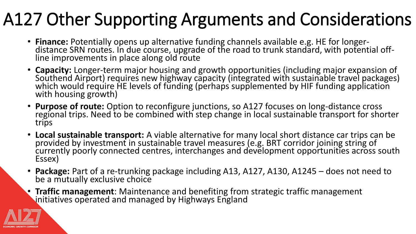## A127 Other Supporting Arguments and Considerations

- **Finance:** Potentially opens up alternative funding channels available e.g. HE for longerdistance SRN routes. In due course, upgrade of the road to trunk standard, with potential offline improvements in place along old route
- **Capacity:** Longer-term major housing and growth opportunities (including major expansion of Southend Airport) requires new highway capacity (integrated with sustainable travel packages) which would require HE levels of funding (perhaps supplemented by HIF funding application with housing growth)
- **Purpose of route:** Option to reconfigure junctions, so A127 focuses on long-distance cross regional trips. Need to be combined with step change in local sustainable transport for shorter trips
- **Local sustainable transport:** A viable alternative for many local short distance car trips can be provided by investment in sustainable travel measures (e.g. BRT corridor joining string of currently poorly connected centres, interchanges and development opportunities across south Essex)
- **Package:** Part of a re-trunking package including A13, A127, A130, A1245 does not need to be a mutually exclusive choice
- **Traffic management**: Maintenance and benefiting from strategic traffic management initiatives operated and managed by Highways England

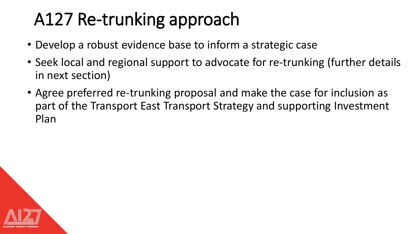## A127 Re-trunking approach

- Develop a robust evidence base to inform a strategic case
- Seek local and regional support to advocate for re-trunking (further details in next section)
- Agree preferred re-trunking proposal and make the case for inclusion as part of the Transport East Transport Strategy and supporting Investment Plan

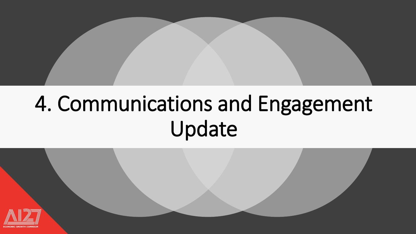

## 4. Communications and Engagement Update

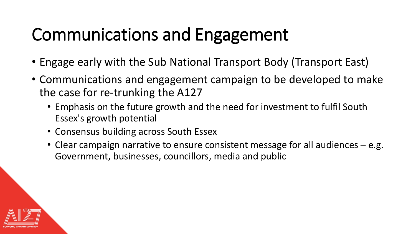## Communications and Engagement

- Engage early with the Sub National Transport Body (Transport East)
- Communications and engagement campaign to be developed to make the case for re-trunking the A127
	- Emphasis on the future growth and the need for investment to fulfil South Essex's growth potential
	- Consensus building across South Essex
	- Clear campaign narrative to ensure consistent message for all audiences e.g. Government, businesses, councillors, media and public

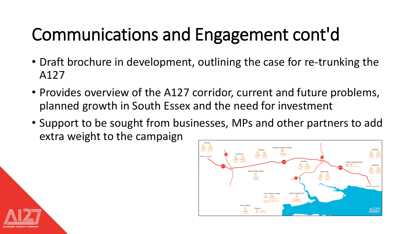## Communications and Engagement cont'd

- Draft brochure in development, outlining the case for re-trunking the A127
- Provides overview of the A127 corridor, current and future problems, planned growth in South Essex and the need for investment
- Support to be sought from businesses, MPs and other partners to add extra weight to the campaign



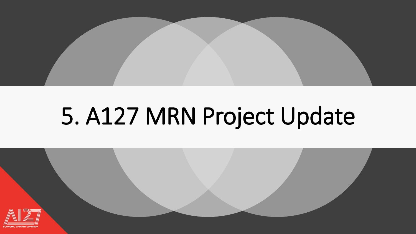

# 5. A127 MRN Project Update

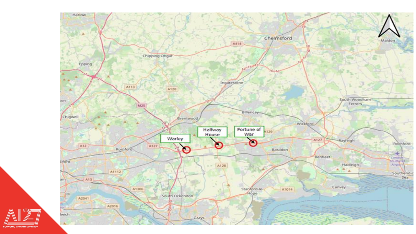

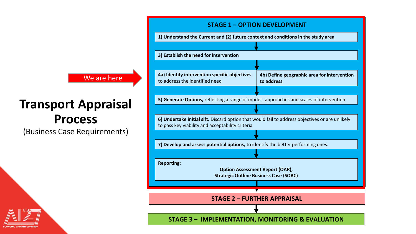#### We are here

#### **Transport Appraisal Process**

(Business Case Requirements)



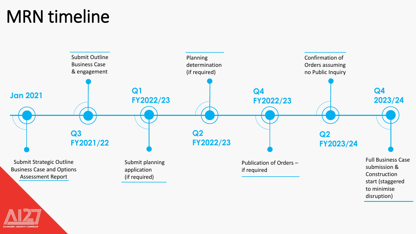#### MRN timeline